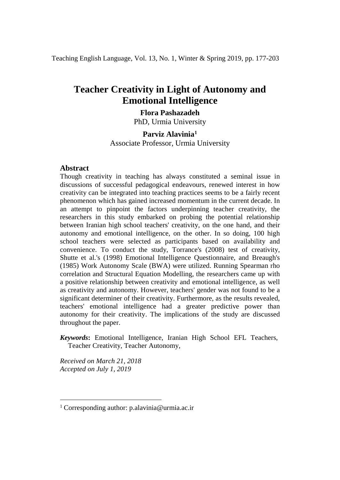Teaching English Language, Vol. 13, No. 1, Winter & Spring 2019, pp. 177-203

# **Teacher Creativity in Light of Autonomy and Emotional Intelligence**

## **Flora Pashazadeh**

PhD, Urmia University

## **Parviz Alavinia[1](#page-0-0)**

Associate Professor, Urmia University

### **Abstract**

Though creativity in teaching has always constituted a seminal issue in discussions of successful pedagogical endeavours, renewed interest in how creativity can be integrated into teaching practices seems to be a fairly recent phenomenon which has gained increased momentum in the current decade. In an attempt to pinpoint the factors underpinning teacher creativity, the researchers in this study embarked on probing the potential relationship between Iranian high school teachers' creativity, on the one hand, and their autonomy and emotional intelligence, on the other. In so doing, 100 high school teachers were selected as participants based on availability and convenience. To conduct the study, Torrance's (2008) test of creativity, Shutte et al.'s (1998) Emotional Intelligence Questionnaire, and Breaugh's (1985) Work Autonomy Scale (BWA) were utilized. Running Spearman rho correlation and Structural Equation Modelling, the researchers came up with a positive relationship between creativity and emotional intelligence, as well as creativity and autonomy. However, teachers' gender was not found to be a significant determiner of their creativity. Furthermore, as the results revealed, teachers' emotional intelligence had a greater predictive power than autonomy for their creativity. The implications of the study are discussed throughout the paper.

*Keywords***:** Emotional Intelligence, Iranian High School EFL Teachers, Teacher Creativity, Teacher Autonomy,

*Received on March 21, 2018 Accepted on July 1, 2019*

<u>.</u>

<span id="page-0-0"></span><sup>1</sup> Corresponding author: p.alavinia@urmia.ac.ir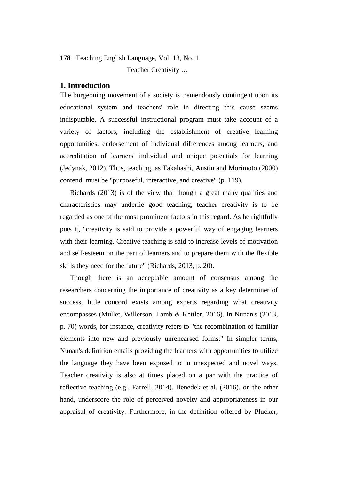Teacher Creativity …

## **1. Introduction**

The burgeoning movement of a society is tremendously contingent upon its educational system and teachers' role in directing this cause seems indisputable. A successful instructional program must take account of a variety of factors, including the establishment of creative learning opportunities, endorsement of individual differences among learners, and accreditation of learners' individual and unique potentials for learning (Jedynak, 2012). Thus, teaching, as Takahashi, Austin and Morimoto (2000) contend, must be "purposeful, interactive, and creative" (p. 119).

Richards (2013) is of the view that though a great many qualities and characteristics may underlie good teaching, teacher creativity is to be regarded as one of the most prominent factors in this regard. As he rightfully puts it, "creativity is said to provide a powerful way of engaging learners with their learning. Creative teaching is said to increase levels of motivation and self-esteem on the part of learners and to prepare them with the flexible skills they need for the future" (Richards, 2013, p. 20).

Though there is an acceptable amount of consensus among the researchers concerning the importance of creativity as a key determiner of success, little concord exists among experts regarding what creativity encompasses (Mullet, Willerson, Lamb & Kettler, 2016). In Nunan's (2013, p. 70) words, for instance, creativity refers to "the recombination of familiar elements into new and previously unrehearsed forms." In simpler terms, Nunan's definition entails providing the learners with opportunities to utilize the language they have been exposed to in unexpected and novel ways. Teacher creativity is also at times placed on a par with the practice of reflective teaching (e.g., Farrell, 2014). Benedek et al. (2016), on the other hand, underscore the role of perceived novelty and appropriateness in our appraisal of creativity. Furthermore, in the definition offered by Plucker,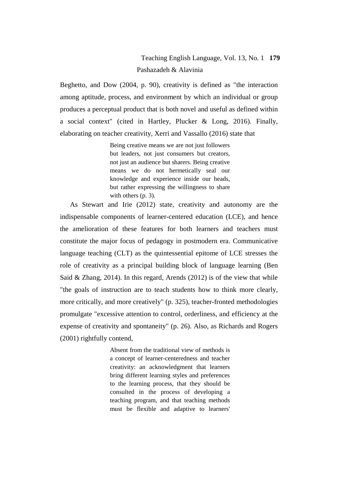# Teaching English Language, Vol. 13, No. 1 **179** Pashazadeh & Alavinia

Beghetto, and Dow (2004, p. 90), creativity is defined as "the interaction among aptitude, process, and environment by which an individual or group produces a perceptual product that is both novel and useful as defined within a social context" (cited in Hartley, Plucker & Long, 2016). Finally, elaborating on teacher creativity, Xerri and Vassallo (2016) state that

> Being creative means we are not just followers but leaders, not just consumers but creators, not just an audience but sharers. Being creative means we do not hermetically seal our knowledge and experience inside our heads, but rather expressing the willingness to share with others (p. 3).

As Stewart and Irie (2012) state, creativity and autonomy are the indispensable components of learner-centered education (LCE), and hence the amelioration of these features for both learners and teachers must constitute the major focus of pedagogy in postmodern era. Communicative language teaching (CLT) as the quintessential epitome of LCE stresses the role of creativity as a principal building block of language learning (Ben Said & Zhang, 2014). In this regard, Arends (2012) is of the view that while "the goals of instruction are to teach students how to think more clearly, more critically, and more creatively" (p. 325), teacher-fronted methodologies promulgate "excessive attention to control, orderliness, and efficiency at the expense of creativity and spontaneity" (p. 26). Also, as Richards and Rogers (2001) rightfully contend,

> Absent from the traditional view of methods is a concept of learner-centeredness and teacher creativity: an acknowledgment that learners bring different learning styles and preferences to the learning process, that they should be consulted in the process of developing a teaching program, and that teaching methods must be flexible and adaptive to learners'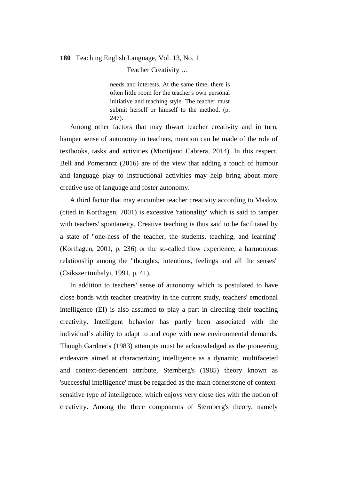Teacher Creativity …

needs and interests. At the same time, there is often little room for the teacher's own personal initiative and teaching style. The teacher must submit herself or himself to the method. (p. 247).

Among other factors that may thwart teacher creativity and in turn, hamper sense of autonomy in teachers, mention can be made of the role of textbooks, tasks and activities (Montijano Cabrera, 2014). In this respect, Bell and Pomerantz (2016) are of the view that adding a touch of humour and language play to instructional activities may help bring about more creative use of language and foster autonomy.

A third factor that may encumber teacher creativity according to Maslow (cited in Korthagen, 2001) is excessive 'rationality' which is said to tamper with teachers' spontaneity. Creative teaching is thus said to be facilitated by a state of "one-ness of the teacher, the students, teaching, and learning" (Korthagen, 2001, p. 236) or the so-called flow experience, a harmonious relationship among the "thoughts, intentions, feelings and all the senses" (Csikszentmihalyi, 1991, p. 41).

In addition to teachers' sense of autonomy which is postulated to have close bonds with teacher creativity in the current study, teachers' emotional intelligence (EI) is also assumed to play a part in directing their teaching creativity. Intelligent behavior has partly been associated with the individual's ability to adapt to and cope with new environmental demands. Though Gardner's (1983) attempts must be acknowledged as the pioneering endeavors aimed at characterizing intelligence as a dynamic, multifaceted and context-dependent attribute, Sternberg's (1985) theory known as 'successful intelligence' must be regarded as the main cornerstone of contextsensitive type of intelligence, which enjoys very close ties with the notion of creativity. Among the three components of Sternberg's theory, namely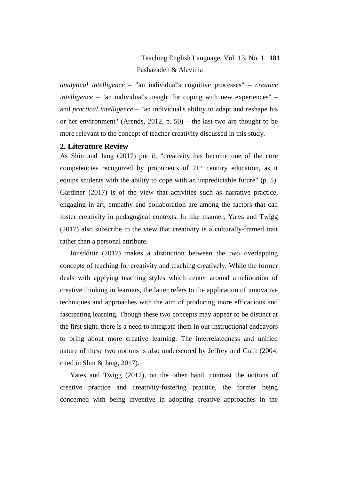# Teaching English Language, Vol. 13, No. 1 **181** Pashazadeh & Alavinia

*analytical intelligence* – "an individual's cognitive processes" – *creative intelligence* – "an individual's insight for coping with new experiences" – and *practical intelligence* – "an individual's ability to adapt and reshape his or her environment" (Arends, 2012, p. 50) – the last two are thought to be more relevant to the concept of teacher creativity discussed in this study.

### **2. Literature Review**

As Shin and Jang (2017) put it, "creativity has become one of the core competencies recognized by proponents of  $21<sup>st</sup>$  century education, as it equips students with the ability to cope with an unpredictable future" (p. 5). Gardiner (2017) is of the view that activities such as narrative practice, engaging in art, empathy and collaboration are among the factors that can foster creativity in pedagogical contexts. In like manner, Yates and Twigg (2017) also subscribe to the view that creativity is a culturally-framed trait rather than a personal attribute.

Jónsdóttir (2017) makes a distinction between the two overlapping concepts of teaching for creativity and teaching creatively. While the former deals with applying teaching styles which center around amelioration of creative thinking in learners, the latter refers to the application of innovative techniques and approaches with the aim of producing more efficacious and fascinating learning. Though these two concepts may appear to be distinct at the first sight, there is a need to integrate them in our instructional endeavors to bring about more creative learning. The interrelatedness and unified nature of these two notions is also underscored by Jeffrey and Craft (2004, cited in Shin & Jang, 2017).

Yates and Twigg (2017), on the other hand, contrast the notions of creative practice and creativity-fostering practice, the former being concerned with being inventive in adopting creative approaches in the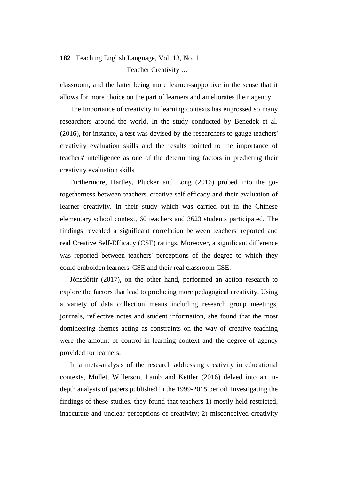# **182** Teaching English Language, Vol. 13, No. 1 Teacher Creativity …

classroom, and the latter being more learner-supportive in the sense that it allows for more choice on the part of learners and ameliorates their agency.

The importance of creativity in learning contexts has engrossed so many researchers around the world. In the study conducted by Benedek et al. (2016), for instance, a test was devised by the researchers to gauge teachers' creativity evaluation skills and the results pointed to the importance of teachers' intelligence as one of the determining factors in predicting their creativity evaluation skills.

Furthermore, Hartley, Plucker and Long (2016) probed into the gotogetherness between teachers' creative self-efficacy and their evaluation of learner creativity. In their study which was carried out in the Chinese elementary school context, 60 teachers and 3623 students participated. The findings revealed a significant correlation between teachers' reported and real Creative Self-Efficacy (CSE) ratings. Moreover, a significant difference was reported between teachers' perceptions of the degree to which they could embolden learners' CSE and their real classroom CSE.

Jónsdóttir (2017), on the other hand, performed an action research to explore the factors that lead to producing more pedagogical creativity. Using a variety of data collection means including research group meetings, journals, reflective notes and student information, she found that the most domineering themes acting as constraints on the way of creative teaching were the amount of control in learning context and the degree of agency provided for learners.

In a meta-analysis of the research addressing creativity in educational contexts, Mullet, Willerson, Lamb and Kettler (2016) delved into an indepth analysis of papers published in the 1999-2015 period. Investigating the findings of these studies, they found that teachers 1) mostly held restricted, inaccurate and unclear perceptions of creativity; 2) misconceived creativity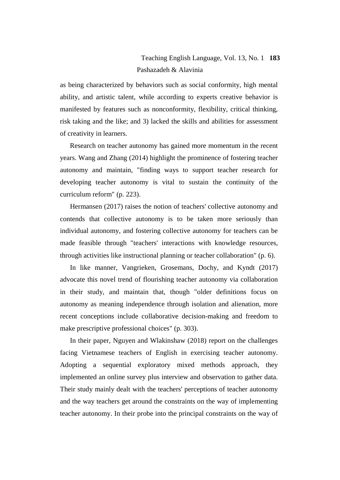# Teaching English Language, Vol. 13, No. 1 **183** Pashazadeh & Alavinia

as being characterized by behaviors such as social conformity, high mental ability, and artistic talent, while according to experts creative behavior is manifested by features such as nonconformity, flexibility, critical thinking, risk taking and the like; and 3) lacked the skills and abilities for assessment of creativity in learners.

Research on teacher autonomy has gained more momentum in the recent years. Wang and Zhang (2014) highlight the prominence of fostering teacher autonomy and maintain, "finding ways to support teacher research for developing teacher autonomy is vital to sustain the continuity of the curriculum reform" (p. 223).

Hermansen (2017) raises the notion of teachers' collective autonomy and contends that collective autonomy is to be taken more seriously than individual autonomy, and fostering collective autonomy for teachers can be made feasible through "teachers' interactions with knowledge resources, through activities like instructional planning or teacher collaboration" (p. 6).

In like manner, Vangrieken, Grosemans, Dochy, and Kyndt (2017) advocate this novel trend of flourishing teacher autonomy via collaboration in their study, and maintain that, though "older definitions focus on autonomy as meaning independence through isolation and alienation, more recent conceptions include collaborative decision-making and freedom to make prescriptive professional choices" (p. 303).

In their paper, Nguyen and Wlakinshaw (2018) report on the challenges facing Vietnamese teachers of English in exercising teacher autonomy. Adopting a sequential exploratory mixed methods approach, they implemented an online survey plus interview and observation to gather data. Their study mainly dealt with the teachers' perceptions of teacher autonomy and the way teachers get around the constraints on the way of implementing teacher autonomy. In their probe into the principal constraints on the way of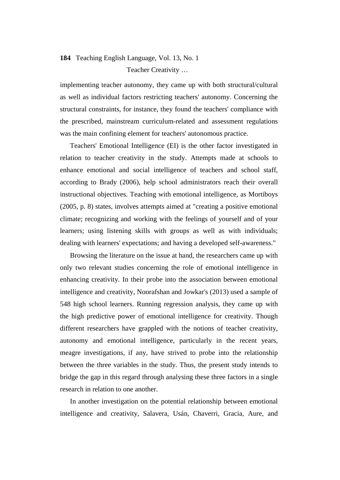# **184** Teaching English Language, Vol. 13, No. 1 Teacher Creativity …

implementing teacher autonomy, they came up with both structural/cultural as well as individual factors restricting teachers' autonomy. Concerning the structural constraints, for instance, they found the teachers' compliance with the prescribed, mainstream curriculum-related and assessment regulations was the main confining element for teachers' autonomous practice.

Teachers' Emotional Intelligence (EI) is the other factor investigated in relation to teacher creativity in the study. Attempts made at schools to enhance emotional and social intelligence of teachers and school staff, according to Brady (2006), help school administrators reach their overall instructional objectives. Teaching with emotional intelligence, as Mortiboys (2005, p. 8) states, involves attempts aimed at "creating a positive emotional climate; recognizing and working with the feelings of yourself and of your learners; using listening skills with groups as well as with individuals; dealing with learners' expectations; and having a developed self-awareness."

Browsing the literature on the issue at hand, the researchers came up with only two relevant studies concerning the role of emotional intelligence in enhancing creativity. In their probe into the association between emotional intelligence and creativity, Noorafshan and Jowkar's (2013) used a sample of 548 high school learners. Running regression analysis, they came up with the high predictive power of emotional intelligence for creativity. Though different researchers have grappled with the notions of teacher creativity, autonomy and emotional intelligence, particularly in the recent years, meagre investigations, if any, have strived to probe into the relationship between the three variables in the study. Thus, the present study intends to bridge the gap in this regard through analysing these three factors in a single research in relation to one another.

In another investigation on the potential relationship between emotional intelligence and creativity, Salavera, Usán, Chaverri, Gracia, Aure, and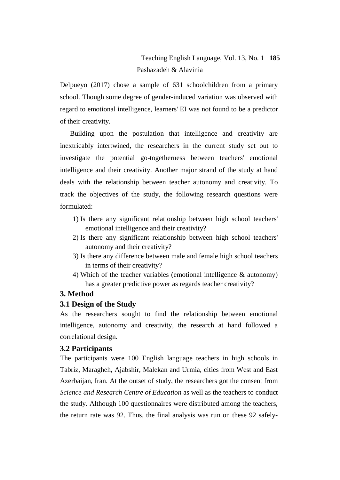# Teaching English Language, Vol. 13, No. 1 **185** Pashazadeh & Alavinia

Delpueyo (2017) chose a sample of 631 schoolchildren from a primary school. Though some degree of gender-induced variation was observed with regard to emotional intelligence, learners' EI was not found to be a predictor of their creativity.

Building upon the postulation that intelligence and creativity are inextricably intertwined, the researchers in the current study set out to investigate the potential go-togetherness between teachers' emotional intelligence and their creativity. Another major strand of the study at hand deals with the relationship between teacher autonomy and creativity. To track the objectives of the study, the following research questions were formulated:

- 1) Is there any significant relationship between high school teachers' emotional intelligence and their creativity?
- 2) Is there any significant relationship between high school teachers' autonomy and their creativity?
- 3) Is there any difference between male and female high school teachers in terms of their creativity?
- 4) Which of the teacher variables (emotional intelligence & autonomy) has a greater predictive power as regards teacher creativity?

### **3. Method**

## **3.1 Design of the Study**

As the researchers sought to find the relationship between emotional intelligence, autonomy and creativity, the research at hand followed a correlational design.

### **3.2 Participants**

The participants were 100 English language teachers in high schools in Tabriz, Maragheh, Ajabshir, Malekan and Urmia, cities from West and East Azerbaijan, Iran. At the outset of study, the researchers got the consent from *Science and Research Centre of Education* as well as the teachers to conduct the study. Although 100 questionnaires were distributed among the teachers, the return rate was 92. Thus, the final analysis was run on these 92 safely-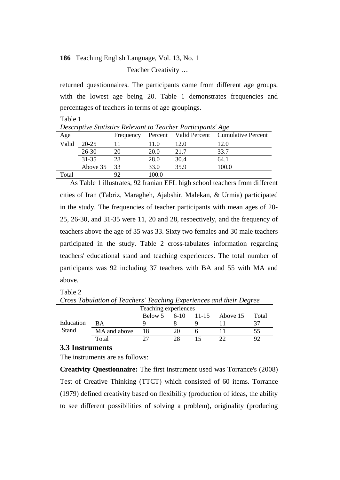Teacher Creativity …

returned questionnaires. The participants came from different age groups, with the lowest age being 20. Table 1 demonstrates frequencies and percentages of teachers in terms of age groupings.

Table 1

*Descriptive Statistics Relevant to Teacher Participants' Age*

| Age   |             | Frequency |       |      | Percent Valid Percent Cumulative Percent |
|-------|-------------|-----------|-------|------|------------------------------------------|
| Valid | $20 - 25$   |           | 11.0  | 12.0 | 12.0                                     |
|       | $26 - 30$   |           | 20.0  | 21.7 | 33.7                                     |
|       | $31 - 35$   | 28        | 28.0  | 30.4 | 64.1                                     |
|       | Above 35 33 |           | 33.0  | 35.9 | 100.0                                    |
| Total |             |           | 100.0 |      |                                          |

As Table 1 illustrates, 92 Iranian EFL high school teachers from different cities of Iran (Tabriz, Maragheh, Ajabshir, Malekan, & Urmia) participated in the study. The frequencies of teacher participants with mean ages of 20- 25, 26-30, and 31-35 were 11, 20 and 28, respectively, and the frequency of teachers above the age of 35 was 33. Sixty two females and 30 male teachers participated in the study. Table 2 cross-tabulates information regarding teachers' educational stand and teaching experiences. The total number of participants was 92 including 37 teachers with BA and 55 with MA and above.

Table 2

|           |              | Teaching experiences |        |           |          |       |
|-----------|--------------|----------------------|--------|-----------|----------|-------|
|           |              | Below 5              | $6-10$ | $11 - 15$ | Above 15 | Total |
| Education | <b>BA</b>    |                      |        |           |          |       |
| Stand     | MA and above |                      |        |           |          |       |
|           | Total        |                      |        |           |          |       |

*Cross Tabulation of Teachers' Teaching Experiences and their Degree*

#### **3.3 Instruments**

The instruments are as follows:

**Creativity Questionnaire:** The first instrument used was Torrance's (2008) Test of Creative Thinking (TTCT) which consisted of 60 items. Torrance (1979) defined creativity based on flexibility (production of ideas, the ability to see different possibilities of solving a problem), originality (producing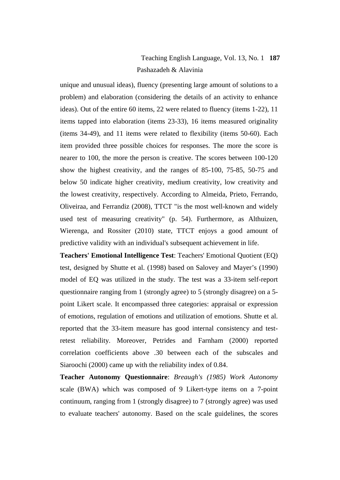# Teaching English Language, Vol. 13, No. 1 **187** Pashazadeh & Alavinia

unique and unusual ideas), fluency (presenting large amount of solutions to a problem) and elaboration (considering the details of an activity to enhance ideas). Out of the entire 60 items, 22 were related to fluency (items 1-22), 11 items tapped into elaboration (items 23-33), 16 items measured originality (items 34-49), and 11 items were related to flexibility (items 50-60). Each item provided three possible choices for responses. The more the score is nearer to 100, the more the person is creative. The scores between 100-120 show the highest creativity, and the ranges of 85-100, 75-85, 50-75 and below 50 indicate higher creativity, medium creativity, low creativity and the lowest creativity, respectively. According to Almeida, Prieto, Ferrando, Oliveiraa, and Ferrandiz (2008), TTCT "is the most well-known and widely used test of measuring creativity" (p. 54). Furthermore, as Althuizen, Wierenga, and Rossiter (2010) state, TTCT enjoys a good amount of predictive validity with an individual's subsequent achievement in life.

**Teachers' Emotional Intelligence Test**: Teachers' Emotional Quotient (EQ) test, designed by Shutte et al. (1998) based on Salovey and Mayer's (1990) model of EQ was utilized in the study. The test was a 33-item self-report questionnaire ranging from 1 (strongly agree) to 5 (strongly disagree) on a 5 point Likert scale. It encompassed three categories: appraisal or expression of emotions, regulation of emotions and utilization of emotions. Shutte et al. reported that the 33-item measure has good internal consistency and testretest reliability. Moreover, Petrides and Farnham (2000) reported correlation coefficients above .30 between each of the subscales and Siaroochi (2000) came up with the reliability index of 0.84.

**Teacher Autonomy Questionnaire**: *Breaugh's (1985) Work Autonomy* scale (BWA) which was composed of 9 Likert-type items on a 7-point continuum, ranging from 1 (strongly disagree) to 7 (strongly agree) was used to evaluate teachers' autonomy. Based on the scale guidelines, the scores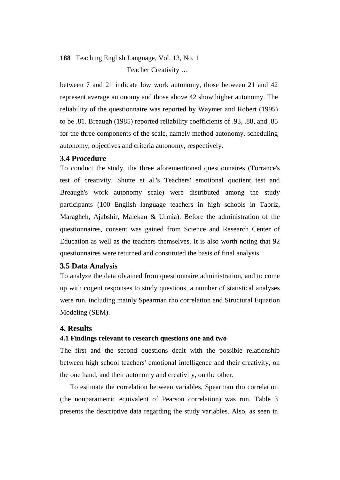# **188** Teaching English Language, Vol. 13, No. 1 Teacher Creativity …

between 7 and 21 indicate low work autonomy, those between 21 and 42 represent average autonomy and those above 42 show higher autonomy. The reliability of the questionnaire was reported by Waymer and Robert (1995) to be .81. Breaugh (1985) reported reliability coefficients of .93, .88, and .85 for the three components of the scale, namely method autonomy, scheduling autonomy, objectives and criteria autonomy, respectively.

## **3.4 Procedure**

To conduct the study, the three aforementioned questionnaires (Torrance's test of creativity, Shutte et al.'s Teachers' emotional quotient test and Breaugh's work autonomy scale) were distributed among the study participants (100 English language teachers in high schools in Tabriz, Maragheh, Ajabshir, Malekan & Urmia). Before the administration of the questionnaires, consent was gained from Science and Research Center of Education as well as the teachers themselves. It is also worth noting that 92 questionnaires were returned and constituted the basis of final analysis.

## **3.5 Data Analysis**

To analyze the data obtained from questionnaire administration, and to come up with cogent responses to study questions, a number of statistical analyses were run, including mainly Spearman rho correlation and Structural Equation Modeling (SEM).

### **4. Results**

### **4.1 Findings relevant to research questions one and two**

The first and the second questions dealt with the possible relationship between high school teachers' emotional intelligence and their creativity, on the one hand, and their autonomy and creativity, on the other.

To estimate the correlation between variables, Spearman rho correlation (the nonparametric equivalent of Pearson correlation) was run. Table 3 presents the descriptive data regarding the study variables. Also, as seen in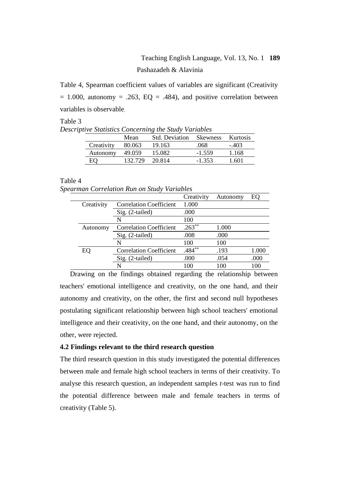# Teaching English Language, Vol. 13, No. 1 **189** Pashazadeh & Alavinia

Table 4, Spearman coefficient values of variables are significant (Creativity  $= 1.000$ , autonomy  $= .263$ , EQ  $= .484$ ), and positive correlation between variables is observable.

Table 3 *Descriptive Statistics Concerning the Study Variables*

|            | Mean    | Std. Deviation | <b>Skewness</b> | <b>Kurtosis</b> |
|------------|---------|----------------|-----------------|-----------------|
| Creativity | 80.063  | 19.163         | .068            | - 403           |
| Autonomy   | 49.059  | 15.082         | $-1.559$        | 1.168           |
|            | 132.729 | 20.814         | $-1.353$        | - 601           |

Table 4

*Spearman Correlation Run on Study Variables*

|            |                                | Creativity | Autonomy | EО    |
|------------|--------------------------------|------------|----------|-------|
| Creativity | <b>Correlation Coefficient</b> | 1.000      |          |       |
|            | $Sig. (2-tailed)$              | .000       |          |       |
|            | N                              | 100        |          |       |
| Autonomy   | <b>Correlation Coefficient</b> | $.263**$   | 1.000    |       |
|            | $Sig. (2-tailed)$              | .008       | .000     |       |
|            | N                              | 100        | 100      |       |
| EO         | <b>Correlation Coefficient</b> | $.484**$   | .193     | 1.000 |
|            | Sig. (2-tailed)                | .000       | .054     | .000  |
|            |                                | 100        | 100      | 100   |

Drawing on the findings obtained regarding the relationship between teachers' emotional intelligence and creativity, on the one hand, and their autonomy and creativity, on the other, the first and second null hypotheses postulating significant relationship between high school teachers' emotional intelligence and their creativity, on the one hand, and their autonomy, on the other, were rejected.

## **4.2 Findings relevant to the third research question**

The third research question in this study investigated the potential differences between male and female high school teachers in terms of their creativity. To analyse this research question, an independent samples *t*-test was run to find the potential difference between male and female teachers in terms of creativity (Table 5).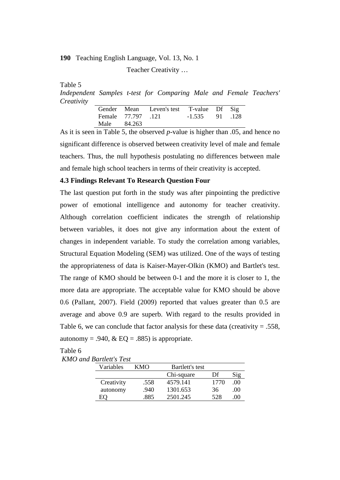Teacher Creativity …

Table 5

*Independent Samples t-test for Comparing Male and Female Teachers' Creativity*

|      |                    | Gender Mean Leven's test | T-value Df Sig   |  |
|------|--------------------|--------------------------|------------------|--|
|      | Female 77.797 .121 |                          | $-1.535$ 91 .128 |  |
| Male | 84.263             |                          |                  |  |

As it is seen in Table 5, the observed *p*-value is higher than .05, and hence no significant difference is observed between creativity level of male and female teachers. Thus, the null hypothesis postulating no differences between male and female high school teachers in terms of their creativity is accepted.

### **4.3 Findings Relevant To Research Question Four**

The last question put forth in the study was after pinpointing the predictive power of emotional intelligence and autonomy for teacher creativity. Although correlation coefficient indicates the strength of relationship between variables, it does not give any information about the extent of changes in independent variable. To study the correlation among variables, Structural Equation Modeling (SEM) was utilized. One of the ways of testing the appropriateness of data is Kaiser-Mayer-Olkin (KMO) and Bartlet's test. The range of KMO should be between 0-1 and the more it is closer to 1, the more data are appropriate. The acceptable value for KMO should be above 0.6 (Pallant, 2007). Field (2009) reported that values greater than 0.5 are average and above 0.9 are superb. With regard to the results provided in Table 6, we can conclude that factor analysis for these data (creativity  $= .558$ , autonomy = .940,  $\&$  EQ = .885) is appropriate.

Table 6

|  | <b>KMO</b> and Bartlett's Test |  |
|--|--------------------------------|--|
|  |                                |  |

| Variables  | <b>KMO</b> | Bartlett's test |      |      |
|------------|------------|-----------------|------|------|
|            |            | Chi-square      | Df   |      |
| Creativity | .558       | 4579.141        | 1770 | .00  |
| autonomy   | 940        | 1301.653        | 36   | .00. |
| EС         | 885        | 2501.245        | 528  | 00   |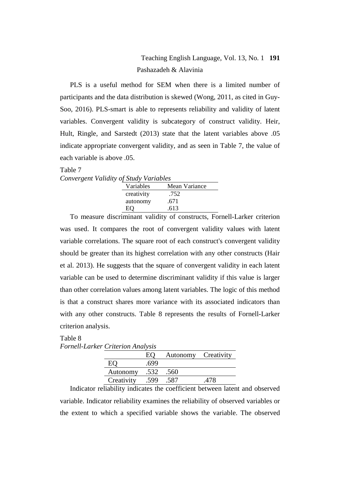# Teaching English Language, Vol. 13, No. 1 **191** Pashazadeh & Alavinia

PLS is a useful method for SEM when there is a limited number of participants and the data distribution is skewed (Wong, 2011, as cited in Guy-Soo, 2016). PLS-smart is able to represents reliability and validity of latent variables. Convergent validity is subcategory of construct validity. Heir, Hult, Ringle, and Sarstedt (2013) state that the latent variables above .05 indicate appropriate convergent validity, and as seen in Table 7, the value of each variable is above .05.

## Table 7

| Convergent Validity of Study Variables |            |               |  |
|----------------------------------------|------------|---------------|--|
|                                        | Variables  | Mean Variance |  |
|                                        | creativity | .752          |  |
|                                        | autonomy   | .671          |  |

.613 EQ To measure discriminant validity of constructs, Fornell-Larker criterion was used. It compares the root of convergent validity values with latent variable correlations. The square root of each construct's convergent validity should be greater than its highest correlation with any other constructs (Hair et al. 2013). He suggests that the square of convergent validity in each latent variable can be used to determine discriminant validity if this value is larger than other correlation values among latent variables. The logic of this method is that a construct shares more variance with its associated indicators than with any other constructs. Table 8 represents the results of Fornell-Larker criterion analysis.

## Table 8 *Fornell-Larker Criterion Analysis*

|            |      | Autonomy | Creativity |
|------------|------|----------|------------|
|            | 699  |          |            |
| Autonomy   | .532 | .560     |            |
| Creativity |      |          |            |
|            |      |          |            |

Indicator reliability indicates the coefficient between latent and observed variable. Indicator reliability examines the reliability of observed variables or the extent to which a specified variable shows the variable. The observed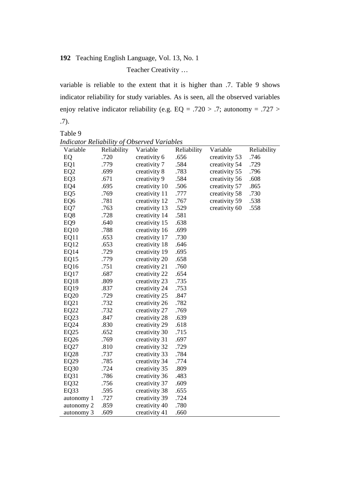Teacher Creativity …

variable is reliable to the extent that it is higher than .7. Table 9 shows indicator reliability for study variables. As is seen, all the observed variables enjoy relative indicator reliability (e.g. EQ = .720 > .7; autonomy = .727 > .7).

 $T_{\rm 110}$ 

| Table 9          |             |                                                    |             |               |             |
|------------------|-------------|----------------------------------------------------|-------------|---------------|-------------|
|                  |             | <b>Indicator Reliability of Observed Variables</b> |             |               |             |
| Variable         | Reliability | Variable                                           | Reliability | Variable      | Reliability |
| EQ               | .720        | creativity 6                                       | .656        | creativity 53 | .746        |
| EQ1              | .779        | creativity 7                                       | .584        | creativity 54 | .729        |
| EQ <sub>2</sub>  | .699        | creativity 8                                       | .783        | creativity 55 | .796        |
| EQ <sub>3</sub>  | .671        | creativity 9                                       | .584        | creativity 56 | .608        |
| EQ4              | .695        | creativity 10                                      | .506        | creativity 57 | .865        |
| EQ <sub>5</sub>  | .769        | creativity 11                                      | .777        | creativity 58 | .730        |
| EQ <sub>6</sub>  | .781        | creativity 12                                      | .767        | creativity 59 | .538        |
| EQ7              | .763        | creativity 13                                      | .529        | creativity 60 | .558        |
| EQ8              | .728        | creativity 14                                      | .581        |               |             |
| EQ <sub>9</sub>  | .640        | creativity 15                                      | .638        |               |             |
| EQ10             | .788        | creativity 16                                      | .699        |               |             |
| EQ11             | .653        | creativity 17                                      | .730        |               |             |
| EQ12             | .653        | creativity 18                                      | .646        |               |             |
| EQ14             | .729        | creativity 19                                      | .695        |               |             |
| EQ15             | .779        | creativity 20                                      | .658        |               |             |
| EQ16             | .751        | creativity 21                                      | .760        |               |             |
| EQ17             | .687        | creativity 22                                      | .654        |               |             |
| EQ18             | .809        | creativity 23                                      | .735        |               |             |
| EQ19             | .837        | creativity 24                                      | .753        |               |             |
| <b>EQ20</b>      | .729        | creativity 25                                      | .847        |               |             |
| EQ21             | .732        | creativity 26                                      | .782        |               |             |
| EQ22             | .732        | creativity 27                                      | .769        |               |             |
| EQ23             | .847        | creativity 28                                      | .639        |               |             |
| EQ24             | .830        | creativity 29                                      | .618        |               |             |
| EQ25             | .652        | creativity 30                                      | .715        |               |             |
| EQ26             | .769        | creativity 31                                      | .697        |               |             |
| EQ27             | .810        | creativity 32                                      | .729        |               |             |
| EQ28             | .737        | creativity 33                                      | .784        |               |             |
| EQ29             | .785        | creativity 34                                      | .774        |               |             |
| EQ <sub>30</sub> | .724        | creativity 35                                      | .809        |               |             |
| EQ31             | .786        | creativity 36                                      | .483        |               |             |
| EQ32             | .756        | creativity 37                                      | .609        |               |             |
| EQ33             | .595        | creativity 38                                      | .655        |               |             |
| autonomy 1       | .727        | creativity 39                                      | .724        |               |             |
| autonomy 2       | .859        | creativity 40                                      | .780        |               |             |
| autonomy 3       | .609        | creativity 41                                      | .660        |               |             |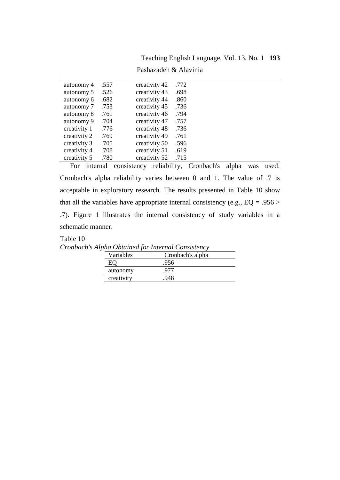Pashazadeh & Alavinia

| autonomy 4   | .557 | creativity 42 | .772 |  |
|--------------|------|---------------|------|--|
| autonomy 5   | .526 | creativity 43 | .698 |  |
| autonomy 6   | .682 | creativity 44 | .860 |  |
| autonomy 7   | .753 | creativity 45 | .736 |  |
| autonomy 8   | .761 | creativity 46 | .794 |  |
| autonomy 9   | .704 | creativity 47 | .757 |  |
| creativity 1 | .776 | creativity 48 | .736 |  |
| creativity 2 | .769 | creativity 49 | .761 |  |
| creativity 3 | .705 | creativity 50 | .596 |  |
| creativity 4 | .708 | creativity 51 | .619 |  |
| creativity 5 | .780 | creativity 52 | .715 |  |

For internal consistency reliability, Cronbach's alpha was used. Cronbach's alpha reliability varies between 0 and 1. The value of .7 is acceptable in exploratory research. The results presented in Table 10 show that all the variables have appropriate internal consistency (e.g.,  $EQ = .956 >$ .7). Figure 1 illustrates the internal consistency of study variables in a schematic manner.

## Table 10

*Cronbach's Alpha Obtained for Internal Consistency*

| Variables  | Cronbach's alpha |
|------------|------------------|
|            | .956             |
| autonomy   |                  |
| creativity |                  |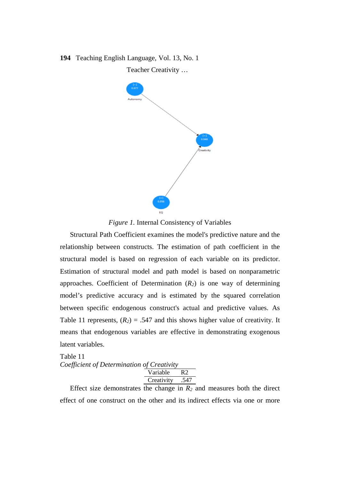# **194** Teaching English Language, Vol. 13, No. 1 Teacher Creativity …



*Figure 1.* Internal Consistency of Variables

Structural Path Coefficient examines the model's predictive nature and the relationship between constructs. The estimation of path coefficient in the structural model is based on regression of each variable on its predictor. Estimation of structural model and path model is based on nonparametric approaches. Coefficient of Determination  $(R_2)$  is one way of determining model's predictive accuracy and is estimated by the squared correlation between specific endogenous construct's actual and predictive values. As Table 11 represents,  $(R_2) = .547$  and this shows higher value of creativity. It means that endogenous variables are effective in demonstrating exogenous latent variables.

Table 11 *Coefficient of Determination of Creativity*

| י גו |
|------|
|      |
|      |

Effect size demonstrates the change in  $R_2$  and measures both the direct effect of one construct on the other and its indirect effects via one or more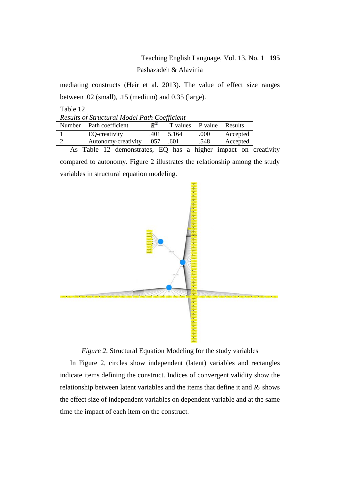# Teaching English Language, Vol. 13, No. 1 **195** Pashazadeh & Alavinia

mediating constructs (Heir et al. 2013). The value of effect size ranges between .02 (small), .15 (medium) and 0.35 (large).

Table 12

| Results of Structural Model Path Coefficient                                    |                         |           |                    |                          |          |  |
|---------------------------------------------------------------------------------|-------------------------|-----------|--------------------|--------------------------|----------|--|
|                                                                                 | Number Path coefficient | д×        |                    | T values P value Results |          |  |
|                                                                                 | EO-creativity           |           | $.401 \quad 5.164$ | .000                     | Accepted |  |
|                                                                                 | Autonomy-creativity     | .057 .601 |                    | .548                     | Accepted |  |
| the contract of the contract of the contract of the contract of the contract of |                         |           |                    |                          |          |  |

As Table 12 demonstrates, EQ has a higher impact on creativity compared to autonomy. Figure 2 illustrates the relationship among the study variables in structural equation modeling.



*Figure 2*. Structural Equation Modeling for the study variables

In Figure 2, circles show independent (latent) variables and rectangles indicate items defining the construct. Indices of convergent validity show the relationship between latent variables and the items that define it and  $R_2$  shows the effect size of independent variables on dependent variable and at the same time the impact of each item on the construct.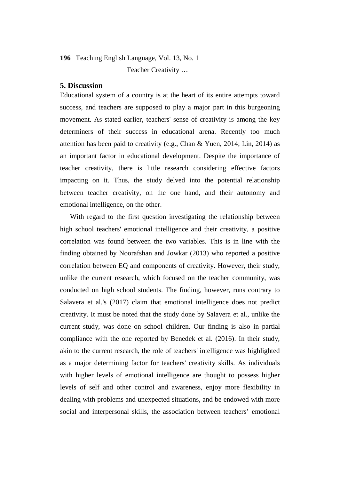Teacher Creativity …

### **5. Discussion**

Educational system of a country is at the heart of its entire attempts toward success, and teachers are supposed to play a major part in this burgeoning movement. As stated earlier, teachers' sense of creativity is among the key determiners of their success in educational arena. Recently too much attention has been paid to creativity (e.g., Chan & Yuen, 2014; Lin, 2014) as an important factor in educational development. Despite the importance of teacher creativity, there is little research considering effective factors impacting on it. Thus, the study delved into the potential relationship between teacher creativity, on the one hand, and their autonomy and emotional intelligence, on the other.

With regard to the first question investigating the relationship between high school teachers' emotional intelligence and their creativity, a positive correlation was found between the two variables. This is in line with the finding obtained by Noorafshan and Jowkar (2013) who reported a positive correlation between EQ and components of creativity. However, their study, unlike the current research, which focused on the teacher community, was conducted on high school students. The finding, however, runs contrary to Salavera et al.'s (2017) claim that emotional intelligence does not predict creativity. It must be noted that the study done by Salavera et al., unlike the current study, was done on school children. Our finding is also in partial compliance with the one reported by Benedek et al. (2016). In their study, akin to the current research, the role of teachers' intelligence was highlighted as a major determining factor for teachers' creativity skills. As individuals with higher levels of emotional intelligence are thought to possess higher levels of self and other control and awareness, enjoy more flexibility in dealing with problems and unexpected situations, and be endowed with more social and interpersonal skills, the association between teachers' emotional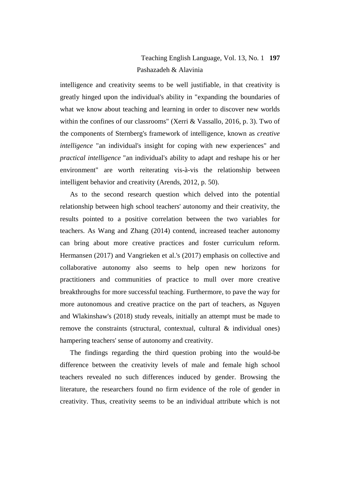# Teaching English Language, Vol. 13, No. 1 **197** Pashazadeh & Alavinia

intelligence and creativity seems to be well justifiable, in that creativity is greatly hinged upon the individual's ability in "expanding the boundaries of what we know about teaching and learning in order to discover new worlds within the confines of our classrooms" (Xerri & Vassallo, 2016, p. 3). Two of the components of Sternberg's framework of intelligence, known as *creative intelligence* "an individual's insight for coping with new experiences" and *practical intelligence* "an individual's ability to adapt and reshape his or her environment" are worth reiterating vis-à-vis the relationship between intelligent behavior and creativity (Arends, 2012, p. 50).

As to the second research question which delved into the potential relationship between high school teachers' autonomy and their creativity, the results pointed to a positive correlation between the two variables for teachers. As Wang and Zhang (2014) contend, increased teacher autonomy can bring about more creative practices and foster curriculum reform. Hermansen (2017) and Vangrieken et al.'s (2017) emphasis on collective and collaborative autonomy also seems to help open new horizons for practitioners and communities of practice to mull over more creative breakthroughs for more successful teaching. Furthermore, to pave the way for more autonomous and creative practice on the part of teachers, as Nguyen and Wlakinshaw's (2018) study reveals, initially an attempt must be made to remove the constraints (structural, contextual, cultural & individual ones) hampering teachers' sense of autonomy and creativity.

The findings regarding the third question probing into the would-be difference between the creativity levels of male and female high school teachers revealed no such differences induced by gender. Browsing the literature, the researchers found no firm evidence of the role of gender in creativity. Thus, creativity seems to be an individual attribute which is not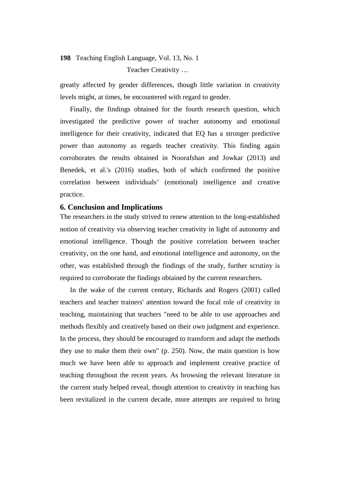Teacher Creativity …

greatly affected by gender differences, though little variation in creativity levels might, at times, be encountered with regard to gender.

Finally, the findings obtained for the fourth research question, which investigated the predictive power of teacher autonomy and emotional intelligence for their creativity, indicated that EQ has a stronger predictive power than autonomy as regards teacher creativity. This finding again corroborates the results obtained in Noorafshan and Jowkar (2013) and Benedek, et al.'s (2016) studies, both of which confirmed the positive correlation between individuals' (emotional) intelligence and creative practice.

## **6. Conclusion and Implications**

The researchers in the study strived to renew attention to the long-established notion of creativity via observing teacher creativity in light of autonomy and emotional intelligence. Though the positive correlation between teacher creativity, on the one hand, and emotional intelligence and autonomy, on the other, was established through the findings of the study, further scrutiny is required to corroborate the findings obtained by the current researchers.

In the wake of the current century, Richards and Rogers (2001) called teachers and teacher trainers' attention toward the focal role of creativity in teaching, maintaining that teachers "need to be able to use approaches and methods flexibly and creatively based on their own judgment and experience. In the process, they should be encouraged to transform and adapt the methods they use to make them their own" (p. 250). Now, the main question is how much we have been able to approach and implement creative practice of teaching throughout the recent years. As browsing the relevant literature in the current study helped reveal, though attention to creativity in teaching has been revitalized in the current decade, more attempts are required to bring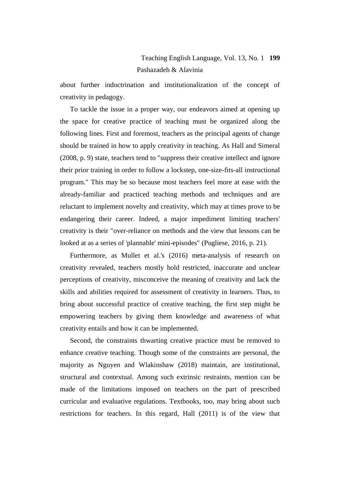# Teaching English Language, Vol. 13, No. 1 **199** Pashazadeh & Alavinia

about further indoctrination and institutionalization of the concept of creativity in pedagogy.

To tackle the issue in a proper way, our endeavors aimed at opening up the space for creative practice of teaching must be organized along the following lines. First and foremost, teachers as the principal agents of change should be trained in how to apply creativity in teaching. As Hall and Simeral (2008, p. 9) state, teachers tend to "suppress their creative intellect and ignore their prior training in order to follow a lockstep, one-size-fits-all instructional program." This may be so because most teachers feel more at ease with the already-familiar and practiced teaching methods and techniques and are reluctant to implement novelty and creativity, which may at times prove to be endangering their career. Indeed, a major impediment limiting teachers' creativity is their "over-reliance on methods and the view that lessons can be looked at as a series of 'plannable' mini-episodes" (Pugliese, 2016, p. 21).

Furthermore, as Mullet et al.'s (2016) meta-analysis of research on creativity revealed, teachers mostly hold restricted, inaccurate and unclear perceptions of creativity, misconceive the meaning of creativity and lack the skills and abilities required for assessment of creativity in learners. Thus, to bring about successful practice of creative teaching, the first step might be empowering teachers by giving them knowledge and awareness of what creativity entails and how it can be implemented.

Second, the constraints thwarting creative practice must be removed to enhance creative teaching. Though some of the constraints are personal, the majority as Nguyen and Wlakinshaw (2018) maintain, are institutional, structural and contextual. Among such extrinsic restraints, mention can be made of the limitations imposed on teachers on the part of prescribed curricular and evaluative regulations. Textbooks, too, may bring about such restrictions for teachers. In this regard, Hall (2011) is of the view that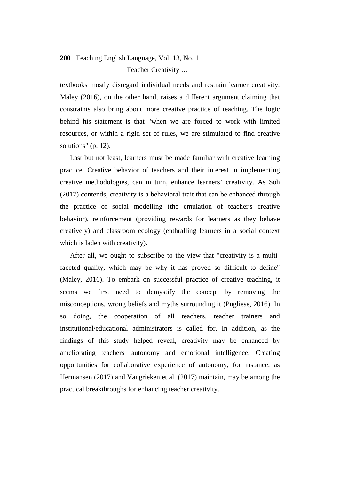# **200** Teaching English Language, Vol. 13, No. 1 Teacher Creativity …

textbooks mostly disregard individual needs and restrain learner creativity. Maley (2016), on the other hand, raises a different argument claiming that constraints also bring about more creative practice of teaching. The logic behind his statement is that "when we are forced to work with limited resources, or within a rigid set of rules, we are stimulated to find creative solutions" (p. 12).

Last but not least, learners must be made familiar with creative learning practice. Creative behavior of teachers and their interest in implementing creative methodologies, can in turn, enhance learners' creativity. As Soh (2017) contends, creativity is a behavioral trait that can be enhanced through the practice of social modelling (the emulation of teacher's creative behavior), reinforcement (providing rewards for learners as they behave creatively) and classroom ecology (enthralling learners in a social context which is laden with creativity).

After all, we ought to subscribe to the view that "creativity is a multifaceted quality, which may be why it has proved so difficult to define" (Maley, 2016). To embark on successful practice of creative teaching, it seems we first need to demystify the concept by removing the misconceptions, wrong beliefs and myths surrounding it (Pugliese, 2016). In so doing, the cooperation of all teachers, teacher trainers and institutional/educational administrators is called for. In addition, as the findings of this study helped reveal, creativity may be enhanced by ameliorating teachers' autonomy and emotional intelligence. Creating opportunities for collaborative experience of autonomy, for instance, as Hermansen (2017) and Vangrieken et al. (2017) maintain, may be among the practical breakthroughs for enhancing teacher creativity.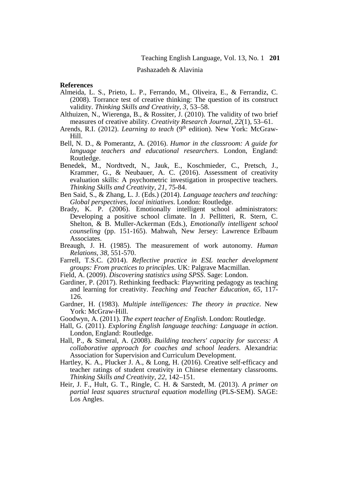#### Pashazadeh & Alavinia

### **References**

- Almeida, L. S., Prieto, L. P., Ferrando, M., Oliveira, E., & Ferrandiz, C. (2008). Torrance test of creative thinking: The question of its construct validity. *Thinking Skills and Creativity, 3*, 53–58.
- Althuizen, N., Wierenga, B., & Rossiter, J. (2010). The validity of two brief measures of creative ability. *Creativity Research Journal, 22*(1), 53–61.
- Arends, R.I. (2012). *Learning to teach* (9<sup>th</sup> edition). New York: McGraw-Hill.
- Bell, N. D., & Pomerantz, A. (2016). *Humor in the classroom: A guide for language teachers and educational researchers*. London, England: Routledge.
- Benedek, M., Nordtvedt, N., Jauk, E., Koschmieder, C., Pretsch, J., Krammer, G., & Neubauer, A. C. (2016). Assessment of creativity evaluation skills: A psychometric investigation in prospective teachers. *Thinking Skills and Creativity, 21*, 75-84.
- Ben Said, S., & Zhang, L. J. (Eds.) (2014). *Language teachers and teaching: Global perspectives, local initiatives*. London: Routledge.
- Brady, K. P. (2006). Emotionally intelligent school administrators: Developing a positive school climate. In J. Pellitteri, R. Stern, C. Shelton, & B. Muller-Ackerman (Eds.), *Emotionally intelligent school counseling* (pp. 151-165). Mahwah, New Jersey: Lawrence Erlbaum Associates.
- Breaugh, J. H. (1985). The measurement of work autonomy. *Human Relations, 38*, 551-570.
- Farrell, T.S.C. (2014). *Reflective practice in ESL teacher development groups: From practices to principles*. UK: Palgrave Macmillan.
- Field, A. (2009). *Discovering statistics using SPSS*. Sage: London.
- Gardiner, P. (2017). Rethinking feedback: Playwriting pedagogy as teaching and learning for creativity. *Teaching and Teacher Education, 65*, 117- 126.
- Gardner, H. (1983). *Multiple intelligences: The theory in practice*. New York: McGraw-Hill.
- Goodwyn, A. (2011). *The expert teacher of English*. London: Routledge.
- Hall, G. (2011). *Exploring English language teaching: Language in action*. London, England: Routledge.
- Hall, P., & Simeral, A. (2008). *Building teachers' capacity for success: A collaborative approach for coaches and school leaders*. Alexandria: Association for Supervision and Curriculum Development.
- Hartley, K. A., Plucker J. A., & Long, H. (2016). Creative self-efficacy and teacher ratings of student creativity in Chinese elementary classrooms. *Thinking Skills and Creativity, 22*, 142–151.
- Heir, J. F., Hult, G. T., Ringle, C. H. & Sarstedt, M. (2013). *A primer on partial least squares structural equation modelling* (PLS-SEM). SAGE: Los Angles.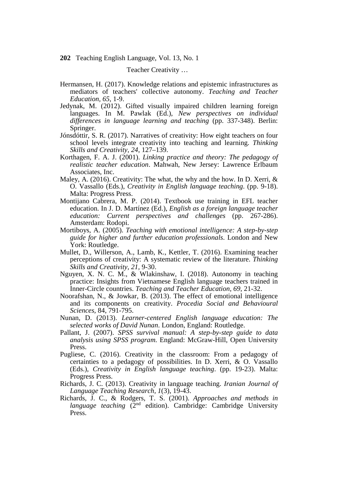Teacher Creativity …

- Hermansen, H. (2017). Knowledge relations and epistemic infrastructures as mediators of teachers' collective autonomy. *Teaching and Teacher Education, 65*, 1-9.
- Jedynak, M. (2012). Gifted visually impaired children learning foreign languages. In M. Pawlak (Ed.), *New perspectives on individual differences in language learning and teaching* (pp. 337-348). Berlin: Springer.
- Jónsdóttir, S. R. (2017). Narratives of creativity: How eight teachers on four school levels integrate creativity into teaching and learning. *Thinking Skills and Creativity, 24*, 127–139.
- Korthagen, F. A. J. (2001). *Linking practice and theory: The pedagogy of realistic teacher education*. Mahwah, New Jersey: Lawrence Erlbaum Associates, Inc.
- Maley, A. (2016). Creativity: The what, the why and the how. In D. Xerri, & O. Vassallo (Eds.), *Creativity in English language teaching*. (pp. 9-18). Malta: Progress Press.
- Montijano Cabrera, M. P. (2014). Textbook use training in EFL teacher education. In J. D. Martínez (Ed.), *English as a foreign language teacher education: Current perspectives and challenges* (pp. 267-286). Amsterdam: Rodopi.
- Mortiboys, A. (2005). *Teaching with emotional intelligence: A step-by-step guide for higher and further education professionals*. London and New York: Routledge.
- Mullet, D., Willerson, A., Lamb, K., Kettler, T. (2016). Examining teacher perceptions of creativity: A systematic review of the literature. *Thinking Skills and Creativity, 21,* 9-30.
- Nguyen, X. N. C. M., & Wlakinshaw, I. (2018). Autonomy in teaching practice: Insights from Vietnamese English language teachers trained in Inner-Circle countries. *Teaching and Teacher Education, 69*, 21-32.
- Noorafshan, N., & Jowkar, B. (2013). The effect of emotional intelligence and its components on creativity. *Procedia Social and Behavioural Sciences,* 84, 791-795.
- Nunan, D. (2013). *Learner-centered English language education: The selected works of David Nunan*. London, England: Routledge.
- Pallant, J. (2007). *SPSS survival manual: A step-by-step guide to data analysis using SPSS program*. England: McGraw-Hill, Open University Press.
- Pugliese, C. (2016). Creativity in the classroom: From a pedagogy of certainties to a pedagogy of possibilities. In D. Xerri, & O. Vassallo (Eds.), *Creativity in English language teaching*. (pp. 19-23). Malta: Progress Press.
- Richards, J. C. (2013). Creativity in language teaching. *Iranian Journal of Language Teaching Research, 1*(3), 19-43.
- Richards, J. C., & Rodgers, T. S. (2001). *Approaches and methods in language teaching* (2<sup>nd</sup> edition). Cambridge: Cambridge University Press.